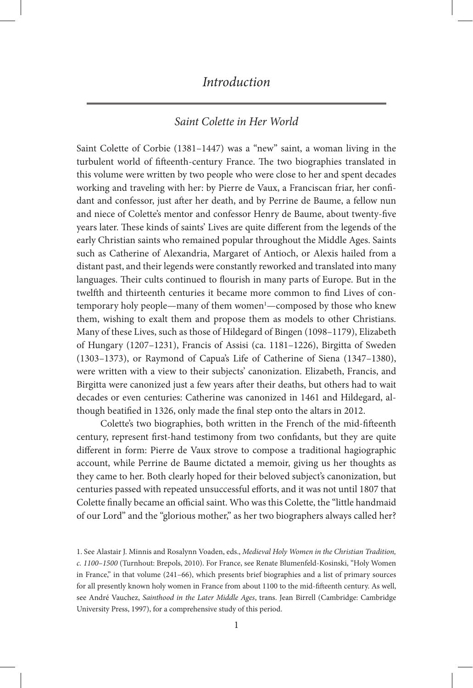### *Saint Colette in Her World*

Saint Colette of Corbie (1381–1447) was a "new" saint, a woman living in the turbulent world of fifteenth-century France. The two biographies translated in this volume were written by two people who were close to her and spent decades working and traveling with her: by Pierre de Vaux, a Franciscan friar, her confidant and confessor, just after her death, and by Perrine de Baume, a fellow nun and niece of Colette's mentor and confessor Henry de Baume, about twenty-five years later. These kinds of saints' Lives are quite different from the legends of the early Christian saints who remained popular throughout the Middle Ages. Saints such as Catherine of Alexandria, Margaret of Antioch, or Alexis hailed from a distant past, and their legends were constantly reworked and translated into many languages. Their cults continued to flourish in many parts of Europe. But in the twelfth and thirteenth centuries it became more common to find Lives of contemporary holy people—many of them women<sup>1</sup>—composed by those who knew them, wishing to exalt them and propose them as models to other Christians. Many of these Lives, such as those of Hildegard of Bingen (1098–1179), Elizabeth of Hungary (1207–1231), Francis of Assisi (ca. 1181–1226), Birgitta of Sweden (1303–1373), or Raymond of Capua's Life of Catherine of Siena (1347–1380), were written with a view to their subjects' canonization. Elizabeth, Francis, and Birgitta were canonized just a few years after their deaths, but others had to wait decades or even centuries: Catherine was canonized in 1461 and Hildegard, although beatified in 1326, only made the final step onto the altars in 2012.

Colette's two biographies, both written in the French of the mid-fifteenth century, represent first-hand testimony from two confidants, but they are quite different in form: Pierre de Vaux strove to compose a traditional hagiographic account, while Perrine de Baume dictated a memoir, giving us her thoughts as they came to her. Both clearly hoped for their beloved subject's canonization, but centuries passed with repeated unsuccessful efforts, and it was not until 1807 that Colette finally became an official saint. Who was this Colette, the "little handmaid of our Lord" and the "glorious mother," as her two biographers always called her?

<sup>1.</sup> See Alastair J. Minnis and Rosalynn Voaden, eds., *Medieval Holy Women in the Christian Tradition, c. 1100–1500* (Turnhout: Brepols, 2010). For France, see Renate Blumenfeld-Kosinski, "Holy Women in France," in that volume (241–66), which presents brief biographies and a list of primary sources for all presently known holy women in France from about 1100 to the mid-fifteenth century. As well, see André Vauchez, *Sainthood in the Later Middle Ages*, trans. Jean Birrell (Cambridge: Cambridge University Press, 1997), for a comprehensive study of this period.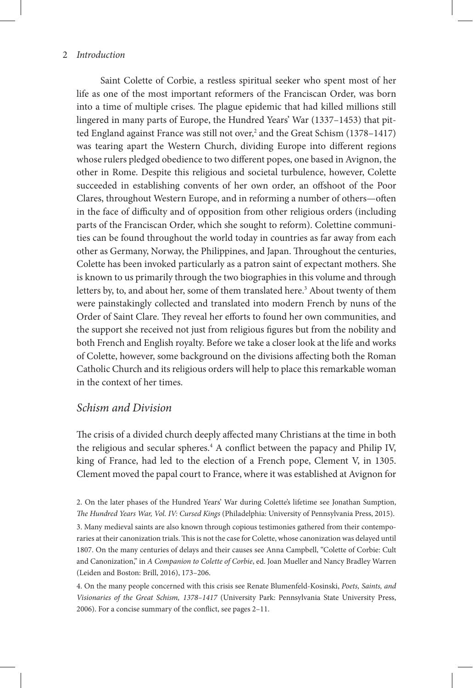Saint Colette of Corbie, a restless spiritual seeker who spent most of her life as one of the most important reformers of the Franciscan Order, was born into a time of multiple crises. The plague epidemic that had killed millions still lingered in many parts of Europe, the Hundred Years' War (1337–1453) that pitted England against France was still not over,<sup>2</sup> and the Great Schism (1378–1417) was tearing apart the Western Church, dividing Europe into different regions whose rulers pledged obedience to two different popes, one based in Avignon, the other in Rome. Despite this religious and societal turbulence, however, Colette succeeded in establishing convents of her own order, an offshoot of the Poor Clares, throughout Western Europe, and in reforming a number of others—often in the face of difficulty and of opposition from other religious orders (including parts of the Franciscan Order, which she sought to reform). Colettine communities can be found throughout the world today in countries as far away from each other as Germany, Norway, the Philippines, and Japan. Throughout the centuries, Colette has been invoked particularly as a patron saint of expectant mothers. She is known to us primarily through the two biographies in this volume and through letters by, to, and about her, some of them translated here.<sup>3</sup> About twenty of them were painstakingly collected and translated into modern French by nuns of the Order of Saint Clare. They reveal her efforts to found her own communities, and the support she received not just from religious figures but from the nobility and both French and English royalty. Before we take a closer look at the life and works of Colette, however, some background on the divisions affecting both the Roman Catholic Church and its religious orders will help to place this remarkable woman in the context of her times.

## *Schism and Division*

The crisis of a divided church deeply affected many Christians at the time in both the religious and secular spheres.<sup>4</sup> A conflict between the papacy and Philip IV, king of France, had led to the election of a French pope, Clement V, in 1305. Clement moved the papal court to France, where it was established at Avignon for

3. Many medieval saints are also known through copious testimonies gathered from their contemporaries at their canonization trials. This is not the case for Colette, whose canonization was delayed until 1807. On the many centuries of delays and their causes see Anna Campbell, "Colette of Corbie: Cult and Canonization," in *A Companion to Colette of Corbie*, ed. Joan Mueller and Nancy Bradley Warren (Leiden and Boston: Brill, 2016), 173–206.

<sup>2.</sup> On the later phases of the Hundred Years' War during Colette's lifetime see Jonathan Sumption, *The Hundred Years War, Vol. IV: Cursed Kings* (Philadelphia: University of Pennsylvania Press, 2015).

<sup>4.</sup> On the many people concerned with this crisis see Renate Blumenfeld-Kosinski, *Poets, Saints, and Visionaries of the Great Schism, 1378–1417* (University Park: Pennsylvania State University Press, 2006). For a concise summary of the conflict, see pages 2–11.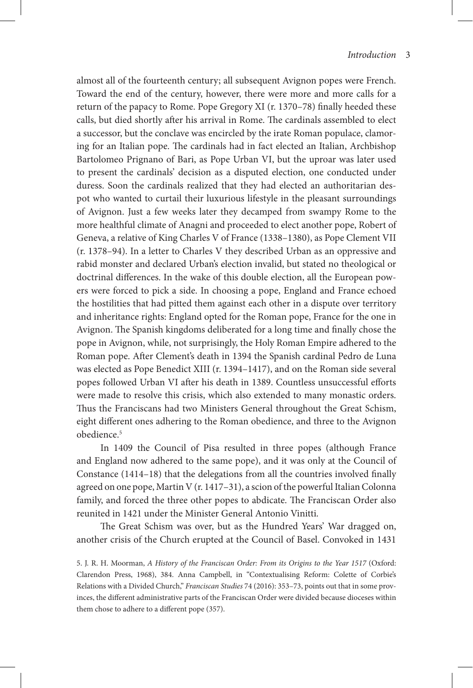almost all of the fourteenth century; all subsequent Avignon popes were French. Toward the end of the century, however, there were more and more calls for a return of the papacy to Rome. Pope Gregory XI (r. 1370–78) finally heeded these calls, but died shortly after his arrival in Rome. The cardinals assembled to elect a successor, but the conclave was encircled by the irate Roman populace, clamoring for an Italian pope. The cardinals had in fact elected an Italian, Archbishop Bartolomeo Prignano of Bari, as Pope Urban VI, but the uproar was later used to present the cardinals' decision as a disputed election, one conducted under duress. Soon the cardinals realized that they had elected an authoritarian despot who wanted to curtail their luxurious lifestyle in the pleasant surroundings of Avignon. Just a few weeks later they decamped from swampy Rome to the more healthful climate of Anagni and proceeded to elect another pope, Robert of Geneva, a relative of King Charles V of France (1338–1380), as Pope Clement VII (r. 1378–94). In a letter to Charles V they described Urban as an oppressive and rabid monster and declared Urban's election invalid, but stated no theological or doctrinal differences. In the wake of this double election, all the European powers were forced to pick a side. In choosing a pope, England and France echoed the hostilities that had pitted them against each other in a dispute over territory and inheritance rights: England opted for the Roman pope, France for the one in Avignon. The Spanish kingdoms deliberated for a long time and finally chose the pope in Avignon, while, not surprisingly, the Holy Roman Empire adhered to the Roman pope. After Clement's death in 1394 the Spanish cardinal Pedro de Luna was elected as Pope Benedict XIII (r. 1394–1417), and on the Roman side several popes followed Urban VI after his death in 1389. Countless unsuccessful efforts were made to resolve this crisis, which also extended to many monastic orders. Thus the Franciscans had two Ministers General throughout the Great Schism, eight different ones adhering to the Roman obedience, and three to the Avignon obedience<sup>5</sup>

In 1409 the Council of Pisa resulted in three popes (although France and England now adhered to the same pope), and it was only at the Council of Constance (1414–18) that the delegations from all the countries involved finally agreed on one pope, Martin V (r. 1417–31), a scion of the powerful Italian Colonna family, and forced the three other popes to abdicate. The Franciscan Order also reunited in 1421 under the Minister General Antonio Vinitti.

The Great Schism was over, but as the Hundred Years' War dragged on, another crisis of the Church erupted at the Council of Basel. Convoked in 1431

5. J. R. H. Moorman, *A History of the Franciscan Order: From its Origins to the Year 1517* (Oxford: Clarendon Press, 1968), 384. Anna Campbell, in "Contextualising Reform: Colette of Corbie's Relations with a Divided Church," *Franciscan Studies* 74 (2016): 353–73, points out that in some provinces, the different administrative parts of the Franciscan Order were divided because dioceses within them chose to adhere to a different pope (357).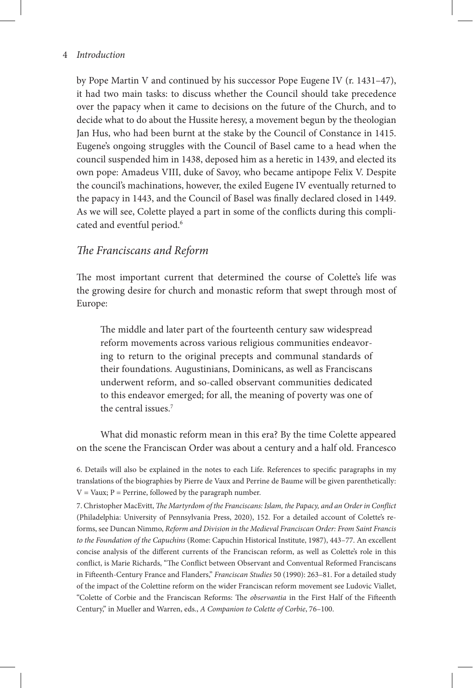by Pope Martin V and continued by his successor Pope Eugene IV (r. 1431–47), it had two main tasks: to discuss whether the Council should take precedence over the papacy when it came to decisions on the future of the Church, and to decide what to do about the Hussite heresy, a movement begun by the theologian Jan Hus, who had been burnt at the stake by the Council of Constance in 1415. Eugene's ongoing struggles with the Council of Basel came to a head when the council suspended him in 1438, deposed him as a heretic in 1439, and elected its own pope: Amadeus VIII, duke of Savoy, who became antipope Felix V. Despite the council's machinations, however, the exiled Eugene IV eventually returned to the papacy in 1443, and the Council of Basel was finally declared closed in 1449. As we will see, Colette played a part in some of the conflicts during this complicated and eventful period.<sup>6</sup>

## *The Franciscans and Reform*

The most important current that determined the course of Colette's life was the growing desire for church and monastic reform that swept through most of Europe:

The middle and later part of the fourteenth century saw widespread reform movements across various religious communities endeavoring to return to the original precepts and communal standards of their foundations. Augustinians, Dominicans, as well as Franciscans underwent reform, and so-called observant communities dedicated to this endeavor emerged; for all, the meaning of poverty was one of the central issues.7

What did monastic reform mean in this era? By the time Colette appeared on the scene the Franciscan Order was about a century and a half old. Francesco

<sup>6.</sup> Details will also be explained in the notes to each Life. References to specific paragraphs in my translations of the biographies by Pierre de Vaux and Perrine de Baume will be given parenthetically:  $V = V$ aux;  $P = Perrine$ , followed by the paragraph number.

<sup>7.</sup> Christopher MacEvitt, *The Martyrdom of the Franciscans: Islam, the Papacy, and an Order in Conflict* (Philadelphia: University of Pennsylvania Press, 2020), 152. For a detailed account of Colette's reforms, see Duncan Nimmo, *Reform and Division in the Medieval Franciscan Order: From Saint Francis to the Foundation of the Capuchins* (Rome: Capuchin Historical Institute, 1987), 443–77. An excellent concise analysis of the different currents of the Franciscan reform, as well as Colette's role in this conflict, is Marie Richards, "The Conflict between Observant and Conventual Reformed Franciscans in Fifteenth-Century France and Flanders," *Franciscan Studies* 50 (1990): 263–81. For a detailed study of the impact of the Colettine reform on the wider Franciscan reform movement see Ludovic Viallet, "Colette of Corbie and the Franciscan Reforms: The *observantia* in the First Half of the Fifteenth Century," in Mueller and Warren, eds., *A Companion to Colette of Corbie*, 76–100.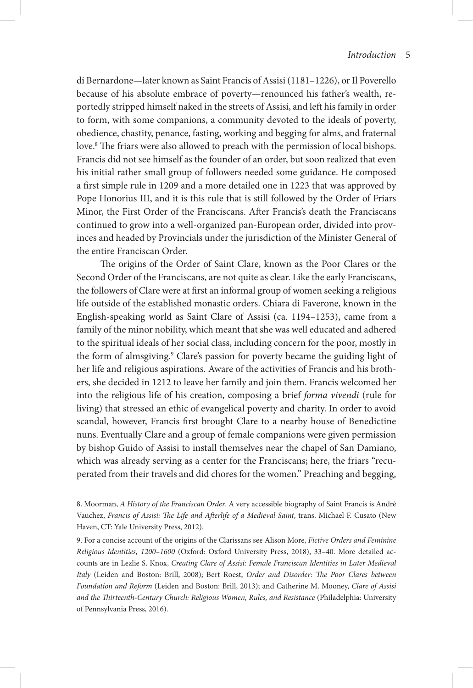di Bernardone—later known as Saint Francis of Assisi (1181–1226), or Il Poverello because of his absolute embrace of poverty—renounced his father's wealth, reportedly stripped himself naked in the streets of Assisi, and left his family in order to form, with some companions, a community devoted to the ideals of poverty, obedience, chastity, penance, fasting, working and begging for alms, and fraternal love.8 The friars were also allowed to preach with the permission of local bishops. Francis did not see himself as the founder of an order, but soon realized that even his initial rather small group of followers needed some guidance. He composed a first simple rule in 1209 and a more detailed one in 1223 that was approved by Pope Honorius III, and it is this rule that is still followed by the Order of Friars Minor, the First Order of the Franciscans. After Francis's death the Franciscans continued to grow into a well-organized pan-European order, divided into provinces and headed by Provincials under the jurisdiction of the Minister General of the entire Franciscan Order.

The origins of the Order of Saint Clare, known as the Poor Clares or the Second Order of the Franciscans, are not quite as clear. Like the early Franciscans, the followers of Clare were at first an informal group of women seeking a religious life outside of the established monastic orders. Chiara di Faverone, known in the English-speaking world as Saint Clare of Assisi (ca. 1194–1253), came from a family of the minor nobility, which meant that she was well educated and adhered to the spiritual ideals of her social class, including concern for the poor, mostly in the form of almsgiving.<sup>9</sup> Clare's passion for poverty became the guiding light of her life and religious aspirations. Aware of the activities of Francis and his brothers, she decided in 1212 to leave her family and join them. Francis welcomed her into the religious life of his creation, composing a brief *forma vivendi* (rule for living) that stressed an ethic of evangelical poverty and charity. In order to avoid scandal, however, Francis first brought Clare to a nearby house of Benedictine nuns. Eventually Clare and a group of female companions were given permission by bishop Guido of Assisi to install themselves near the chapel of San Damiano, which was already serving as a center for the Franciscans; here, the friars "recuperated from their travels and did chores for the women." Preaching and begging,

8. Moorman, *A History of the Franciscan Order*. A very accessible biography of Saint Francis is André Vauchez, *Francis of Assisi: The Life and Afterlife of a Medieval Saint*, trans. Michael F. Cusato (New Haven, CT: Yale University Press, 2012).

9. For a concise account of the origins of the Clarissans see Alison More, *Fictive Orders and Feminine Religious Identities, 1200–1600* (Oxford: Oxford University Press, 2018), 33–40. More detailed accounts are in Lezlie S. Knox, *Creating Clare of Assisi: Female Franciscan Identities in Later Medieval Italy* (Leiden and Boston: Brill, 2008); Bert Roest, *Order and Disorder: The Poor Clares between Foundation and Reform* (Leiden and Boston: Brill, 2013); and Catherine M. Mooney, *Clare of Assisi*  and the Thirteenth-Century Church: Religious Women, Rules, and Resistance (Philadelphia: University of Pennsylvania Press, 2016).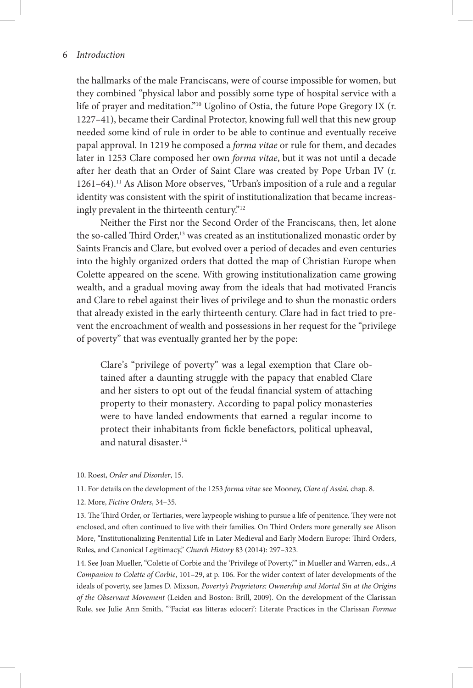the hallmarks of the male Franciscans, were of course impossible for women, but they combined "physical labor and possibly some type of hospital service with a life of prayer and meditation."10 Ugolino of Ostia, the future Pope Gregory IX (r. 1227–41), became their Cardinal Protector, knowing full well that this new group needed some kind of rule in order to be able to continue and eventually receive papal approval. In 1219 he composed a *forma vitae* or rule for them, and decades later in 1253 Clare composed her own *forma vitae*, but it was not until a decade after her death that an Order of Saint Clare was created by Pope Urban IV (r. 1261–64).11 As Alison More observes, "Urban's imposition of a rule and a regular identity was consistent with the spirit of institutionalization that became increasingly prevalent in the thirteenth century."12

Neither the First nor the Second Order of the Franciscans, then, let alone the so-called Third Order,<sup>13</sup> was created as an institutionalized monastic order by Saints Francis and Clare, but evolved over a period of decades and even centuries into the highly organized orders that dotted the map of Christian Europe when Colette appeared on the scene. With growing institutionalization came growing wealth, and a gradual moving away from the ideals that had motivated Francis and Clare to rebel against their lives of privilege and to shun the monastic orders that already existed in the early thirteenth century. Clare had in fact tried to prevent the encroachment of wealth and possessions in her request for the "privilege of poverty" that was eventually granted her by the pope:

Clare's "privilege of poverty" was a legal exemption that Clare obtained after a daunting struggle with the papacy that enabled Clare and her sisters to opt out of the feudal financial system of attaching property to their monastery. According to papal policy monasteries were to have landed endowments that earned a regular income to protect their inhabitants from fickle benefactors, political upheaval, and natural disaster.<sup>14</sup>

- 10. Roest, *Order and Disorder*, 15.
- 11. For details on the development of the 1253 *forma vitae* see Mooney, *Clare of Assisi*, chap. 8.
- 12. More, *Fictive Orders*, 34–35.

13. The Third Order, or Tertiaries, were laypeople wishing to pursue a life of penitence. They were not enclosed, and often continued to live with their families. On Third Orders more generally see Alison More, "Institutionalizing Penitential Life in Later Medieval and Early Modern Europe: Third Orders, Rules, and Canonical Legitimacy," *Church History* 83 (2014): 297–323.

14. See Joan Mueller, "Colette of Corbie and the 'Privilege of Poverty,'" in Mueller and Warren, eds., *A Companion to Colette of Corbie*, 101–29, at p. 106. For the wider context of later developments of the ideals of poverty, see James D. Mixson, *Poverty's Proprietors: Ownership and Mortal Sin at the Origins of the Observant Movement* (Leiden and Boston: Brill, 2009). On the development of the Clarissan Rule, see Julie Ann Smith, "'Faciat eas litteras edoceri': Literate Practices in the Clarissan *Formae*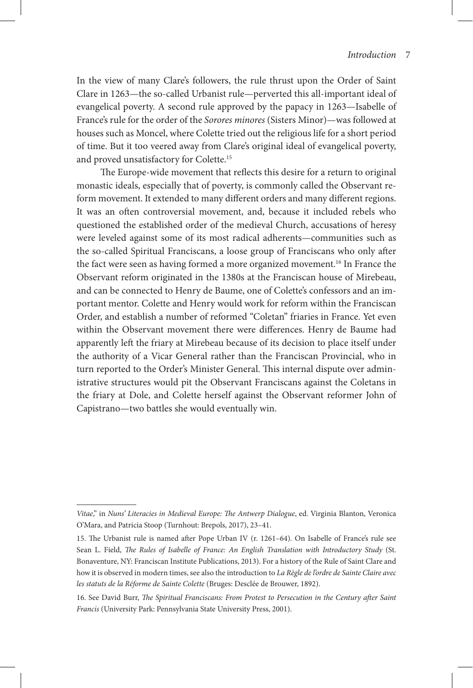In the view of many Clare's followers, the rule thrust upon the Order of Saint Clare in 1263—the so-called Urbanist rule—perverted this all-important ideal of evangelical poverty. A second rule approved by the papacy in 1263—Isabelle of France's rule for the order of the *Sorores minores* (Sisters Minor)—was followed at houses such as Moncel, where Colette tried out the religious life for a short period of time. But it too veered away from Clare's original ideal of evangelical poverty, and proved unsatisfactory for Colette.15

The Europe-wide movement that reflects this desire for a return to original monastic ideals, especially that of poverty, is commonly called the Observant reform movement. It extended to many different orders and many different regions. It was an often controversial movement, and, because it included rebels who questioned the established order of the medieval Church, accusations of heresy were leveled against some of its most radical adherents—communities such as the so-called Spiritual Franciscans, a loose group of Franciscans who only after the fact were seen as having formed a more organized movement.16 In France the Observant reform originated in the 1380s at the Franciscan house of Mirebeau, and can be connected to Henry de Baume, one of Colette's confessors and an important mentor. Colette and Henry would work for reform within the Franciscan Order, and establish a number of reformed "Coletan" friaries in France. Yet even within the Observant movement there were differences. Henry de Baume had apparently left the friary at Mirebeau because of its decision to place itself under the authority of a Vicar General rather than the Franciscan Provincial, who in turn reported to the Order's Minister General. This internal dispute over administrative structures would pit the Observant Franciscans against the Coletans in the friary at Dole, and Colette herself against the Observant reformer John of Capistrano—two battles she would eventually win.

*Vitae*," in *Nuns' Literacies in Medieval Europe: The Antwerp Dialogue*, ed. Virginia Blanton, Veronica O'Mara, and Patricia Stoop (Turnhout: Brepols, 2017), 23–41.

<sup>15.</sup> The Urbanist rule is named after Pope Urban IV (r. 1261–64). On Isabelle of France's rule see Sean L. Field, *The Rules of Isabelle of France: An English Translation with Introductory Study* (St. Bonaventure, NY: Franciscan Institute Publications, 2013). For a history of the Rule of Saint Clare and how it is observed in modern times, see also the introduction to *La Règle de l'ordre de Sainte Claire avec les statuts de la Réforme de Sainte Colette* (Bruges: Desclée de Brouwer, 1892).

<sup>16.</sup> See David Burr, *The Spiritual Franciscans: From Protest to Persecution in the Century after Saint Francis* (University Park: Pennsylvania State University Press, 2001).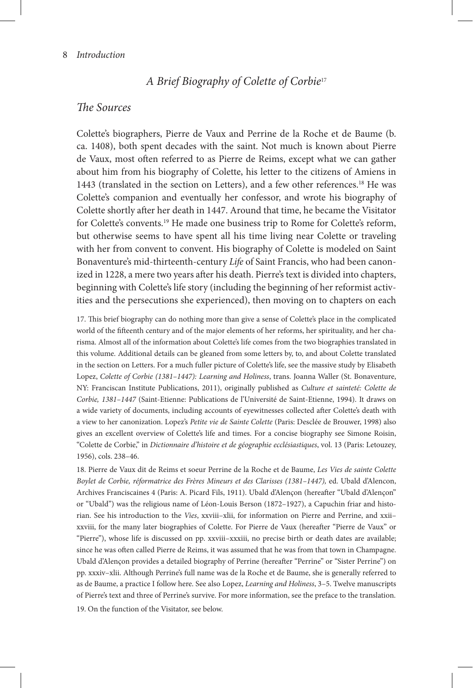# *A Brief Biography of Colette of Corbie*<sup>17</sup>

### *The Sources*

Colette's biographers, Pierre de Vaux and Perrine de la Roche et de Baume (b. ca. 1408), both spent decades with the saint. Not much is known about Pierre de Vaux, most often referred to as Pierre de Reims, except what we can gather about him from his biography of Colette, his letter to the citizens of Amiens in 1443 (translated in the section on Letters), and a few other references.<sup>18</sup> He was Colette's companion and eventually her confessor, and wrote his biography of Colette shortly after her death in 1447. Around that time, he became the Visitator for Colette's convents.<sup>19</sup> He made one business trip to Rome for Colette's reform, but otherwise seems to have spent all his time living near Colette or traveling with her from convent to convent. His biography of Colette is modeled on Saint Bonaventure's mid-thirteenth-century *Life* of Saint Francis, who had been canonized in 1228, a mere two years after his death. Pierre's text is divided into chapters, beginning with Colette's life story (including the beginning of her reformist activities and the persecutions she experienced), then moving on to chapters on each

17. This brief biography can do nothing more than give a sense of Colette's place in the complicated world of the fifteenth century and of the major elements of her reforms, her spirituality, and her charisma. Almost all of the information about Colette's life comes from the two biographies translated in this volume. Additional details can be gleaned from some letters by, to, and about Colette translated in the section on Letters. For a much fuller picture of Colette's life, see the massive study by Elisabeth Lopez, *Colette of Corbie (1381–1447): Learning and Holiness*, trans. Joanna Waller (St. Bonaventure, NY: Franciscan Institute Publications, 2011), originally published as *Culture et sainteté: Colette de Corbie, 1381–1447* (Saint-Etienne: Publications de l'Université de Saint-Etienne, 1994). It draws on a wide variety of documents, including accounts of eyewitnesses collected after Colette's death with a view to her canonization. Lopez's *Petite vie de Sainte Colette* (Paris: Desclée de Brouwer, 1998) also gives an excellent overview of Colette's life and times. For a concise biography see Simone Roisin, "Colette de Corbie," in *Dictionnaire d'histoire et de géographie ecclésiastiques*, vol. 13 (Paris: Letouzey, 1956), cols. 238–46.

18. Pierre de Vaux dit de Reims et soeur Perrine de la Roche et de Baume, *Les Vies de sainte Colette Boylet de Corbie, réformatrice des Frères Mineurs et des Clarisses (1381–1447),* ed. Ubald d'Alencon, Archives Franciscaines 4 (Paris: A. Picard Fils, 1911). Ubald d'Alençon (hereafter "Ubald d'Alençon" or "Ubald") was the religious name of Léon-Louis Berson (1872–1927), a Capuchin friar and historian. See his introduction to the *Vies*, xxviii–xlii, for information on Pierre and Perrine, and xxii– xxviii, for the many later biographies of Colette. For Pierre de Vaux (hereafter "Pierre de Vaux" or "Pierre"), whose life is discussed on pp. xxviii–xxxiii, no precise birth or death dates are available; since he was often called Pierre de Reims, it was assumed that he was from that town in Champagne. Ubald d'Alençon provides a detailed biography of Perrine (hereafter "Perrine" or "Sister Perrine") on pp. xxxiv–xlii. Although Perrine's full name was de la Roche et de Baume, she is generally referred to as de Baume, a practice I follow here. See also Lopez, *Learning and Holiness*, 3–5. Twelve manuscripts of Pierre's text and three of Perrine's survive. For more information, see the preface to the translation.

19. On the function of the Visitator, see below.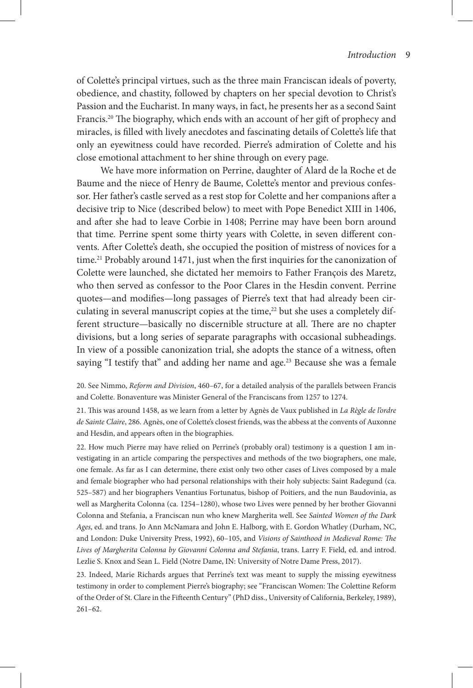of Colette's principal virtues, such as the three main Franciscan ideals of poverty, obedience, and chastity, followed by chapters on her special devotion to Christ's Passion and the Eucharist. In many ways, in fact, he presents her as a second Saint Francis.<sup>20</sup> The biography, which ends with an account of her gift of prophecy and miracles, is filled with lively anecdotes and fascinating details of Colette's life that only an eyewitness could have recorded. Pierre's admiration of Colette and his close emotional attachment to her shine through on every page.

We have more information on Perrine, daughter of Alard de la Roche et de Baume and the niece of Henry de Baume, Colette's mentor and previous confessor. Her father's castle served as a rest stop for Colette and her companions after a decisive trip to Nice (described below) to meet with Pope Benedict XIII in 1406, and after she had to leave Corbie in 1408; Perrine may have been born around that time. Perrine spent some thirty years with Colette, in seven different convents. After Colette's death, she occupied the position of mistress of novices for a time.<sup>21</sup> Probably around 1471, just when the first inquiries for the canonization of Colette were launched, she dictated her memoirs to Father François des Maretz, who then served as confessor to the Poor Clares in the Hesdin convent. Perrine quotes—and modifies—long passages of Pierre's text that had already been circulating in several manuscript copies at the time,<sup>22</sup> but she uses a completely different structure—basically no discernible structure at all. There are no chapter divisions, but a long series of separate paragraphs with occasional subheadings. In view of a possible canonization trial, she adopts the stance of a witness, often saying "I testify that" and adding her name and age.<sup>23</sup> Because she was a female

20. See Nimmo, *Reform and Division*, 460–67, for a detailed analysis of the parallels between Francis and Colette. Bonaventure was Minister General of the Franciscans from 1257 to 1274.

21. This was around 1458, as we learn from a letter by Agnès de Vaux published in *La Règle de l'ordre de Sainte Claire*, 286. Agnès, one of Colette's closest friends, was the abbess at the convents of Auxonne and Hesdin, and appears often in the biographies.

22. How much Pierre may have relied on Perrine's (probably oral) testimony is a question I am investigating in an article comparing the perspectives and methods of the two biographers, one male, one female. As far as I can determine, there exist only two other cases of Lives composed by a male and female biographer who had personal relationships with their holy subjects: Saint Radegund (ca. 525–587) and her biographers Venantius Fortunatus, bishop of Poitiers, and the nun Baudovinia, as well as Margherita Colonna (ca. 1254–1280), whose two Lives were penned by her brother Giovanni Colonna and Stefania, a Franciscan nun who knew Margherita well. See *Sainted Women of the Dark Ages*, ed. and trans. Jo Ann McNamara and John E. Halborg, with E. Gordon Whatley (Durham, NC, and London: Duke University Press, 1992), 60–105, and *Visions of Sainthood in Medieval Rome: The Lives of Margherita Colonna by Giovanni Colonna and Stefania*, trans. Larry F. Field, ed. and introd. Lezlie S. Knox and Sean L. Field (Notre Dame, IN: University of Notre Dame Press, 2017).

23. Indeed, Marie Richards argues that Perrine's text was meant to supply the missing eyewitness testimony in order to complement Pierre's biography; see "Franciscan Women: The Colettine Reform of the Order of St. Clare in the Fifteenth Century" (PhD diss., University of California, Berkeley, 1989), 261–62.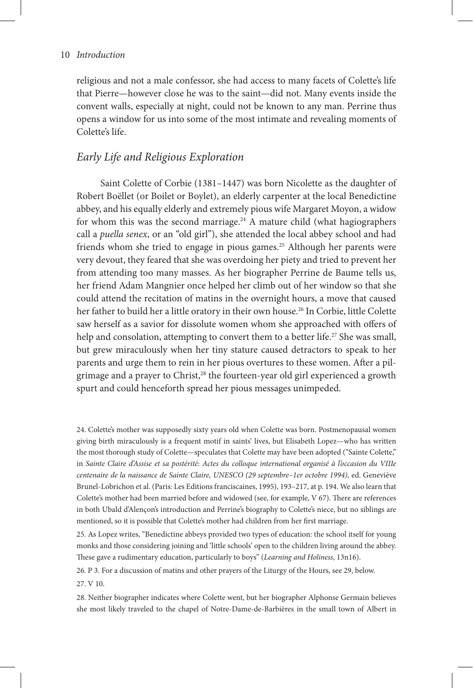religious and not a male confessor, she had access to many facets of Colette's life that Pierre—however close he was to the saint—did not. Many events inside the convent walls, especially at night, could not be known to any man. Perrine thus opens a window for us into some of the most intimate and revealing moments of Colette's life.

# *Early Life and Religious Exploration*

Saint Colette of Corbie (1381–1447) was born Nicolette as the daughter of Robert Boëllet (or Boilet or Boylet), an elderly carpenter at the local Benedictine abbey, and his equally elderly and extremely pious wife Margaret Moyon, a widow for whom this was the second marriage. $24$  A mature child (what hagiographers call a *puella senex*, or an "old girl"), she attended the local abbey school and had friends whom she tried to engage in pious games.<sup>25</sup> Although her parents were very devout, they feared that she was overdoing her piety and tried to prevent her from attending too many masses. As her biographer Perrine de Baume tells us, her friend Adam Mangnier once helped her climb out of her window so that she could attend the recitation of matins in the overnight hours, a move that caused her father to build her a little oratory in their own house.<sup>26</sup> In Corbie, little Colette saw herself as a savior for dissolute women whom she approached with offers of help and consolation, attempting to convert them to a better life.<sup>27</sup> She was small, but grew miraculously when her tiny stature caused detractors to speak to her parents and urge them to rein in her pious overtures to these women. After a pilgrimage and a prayer to Christ,<sup>28</sup> the fourteen-year old girl experienced a growth spurt and could henceforth spread her pious messages unimpeded.

24. Colette's mother was supposedly sixty years old when Colette was born. Postmenopausal women giving birth miraculously is a frequent motif in saints' lives, but Elisabeth Lopez—who has written the most thorough study of Colette—speculates that Colette may have been adopted ("Sainte Colette," in *Sainte Claire d'Assise et sa postérité: Actes du colloque international organisé à l'occasion du VIIIe centenaire de la naissance de Sainte Claire, UNESCO (29 septembre–1er octobre 1994)*, ed. Geneviève Brunel-Lobrichon et al. (Paris: Les Editions franciscaines, 1995), 193–217, at p. 194. We also learn that Colette's mother had been married before and widowed (see, for example, V 67). There are references in both Ubald d'Alençon's introduction and Perrine's biography to Colette's niece, but no siblings are mentioned, so it is possible that Colette's mother had children from her first marriage.

25. As Lopez writes, "Benedictine abbeys provided two types of education: the school itself for young monks and those considering joining and 'little schools' open to the children living around the abbey. These gave a rudimentary education, particularly to boys" (*Learning and Holiness*, 13n16).

26. P 3. For a discussion of matins and other prayers of the Liturgy of the Hours, see 29, below.

27. V 10.

28. Neither biographer indicates where Colette went, but her biographer Alphonse Germain believes she most likely traveled to the chapel of Notre-Dame-de-Barbières in the small town of Albert in